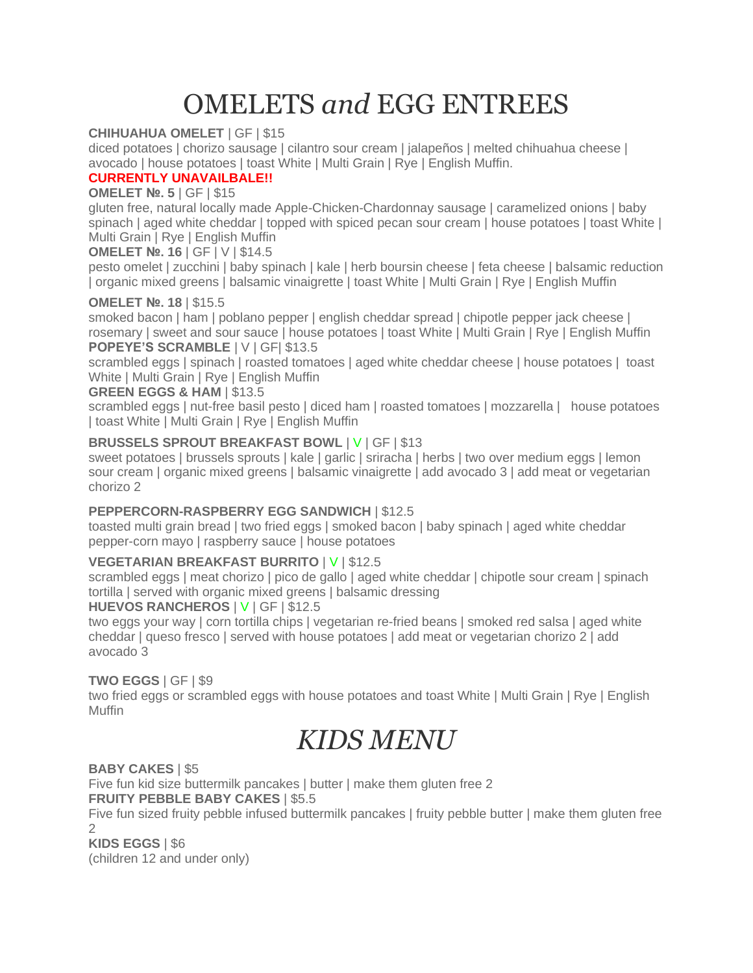# OMELETS *and* EGG ENTREES

# **CHIHUAHUA OMELET** | GF | \$15

diced potatoes | chorizo sausage | cilantro sour cream | jalapeños | melted chihuahua cheese | avocado | house potatoes | toast White | Multi Grain | Rye | English Muffin.

# **CURRENTLY UNAVAILBALE!!**

# **OMELET №. 5** | GF | \$15

gluten free, natural locally made Apple-Chicken-Chardonnay sausage | caramelized onions | baby spinach | aged white cheddar | topped with spiced pecan sour cream | house potatoes | toast White | Multi Grain | Rye | English Muffin

# **OMELET №. 16** | GF | V | \$14.5

pesto omelet | zucchini | baby spinach | kale | herb boursin cheese | feta cheese | balsamic reduction | organic mixed greens | balsamic vinaigrette | toast White | Multi Grain | Rye | English Muffin

# **OMELET №. 18** | \$15.5

smoked bacon | ham | poblano pepper | english cheddar spread | chipotle pepper jack cheese | rosemary | sweet and sour sauce | house potatoes | toast White | Multi Grain | Rye | English Muffin **POPEYE'S SCRAMBLE** | V | GF| \$13.5

scrambled eggs | spinach | roasted tomatoes | aged white cheddar cheese | house potatoes | toast White | Multi Grain | Rye | English Muffin

# **GREEN EGGS & HAM** | \$13.5

scrambled eggs | nut-free basil pesto | diced ham | roasted tomatoes | mozzarella | house potatoes | toast White | Multi Grain | Rye | English Muffin

# **BRUSSELS SPROUT BREAKFAST BOWL** | V | GF | \$13

sweet potatoes | brussels sprouts | kale | garlic | sriracha | herbs | two over medium eggs | lemon sour cream | organic mixed greens | balsamic vinaigrette | add avocado 3 | add meat or vegetarian chorizo 2

# **PEPPERCORN-RASPBERRY EGG SANDWICH** | \$12.5

toasted multi grain bread | two fried eggs | smoked bacon | baby spinach | aged white cheddar pepper-corn mayo | raspberry sauce | house potatoes

## **VEGETARIAN BREAKFAST BURRITO** | V | \$12.5

scrambled eggs | meat chorizo | pico de gallo | aged white cheddar | chipotle sour cream | spinach tortilla | served with organic mixed greens | balsamic dressing

## **HUEVOS RANCHEROS** | V | GF | \$12.5

two eggs your way | corn tortilla chips | vegetarian re-fried beans | smoked red salsa | aged white cheddar | queso fresco | served with house potatoes | add meat or vegetarian chorizo 2 | add avocado 3

## **TWO EGGS** | GF | \$9

two fried eggs or scrambled eggs with house potatoes and toast White | Multi Grain | Rye | English **Muffin** 

# *KIDS MENU*

## **BABY CAKES** | \$5

Five fun kid size buttermilk pancakes | butter | make them gluten free 2

# **FRUITY PEBBLE BABY CAKES** | \$5.5

Five fun sized fruity pebble infused buttermilk pancakes | fruity pebble butter | make them gluten free  $\mathfrak{D}$ 

**KIDS EGGS** | \$6 (children 12 and under only)